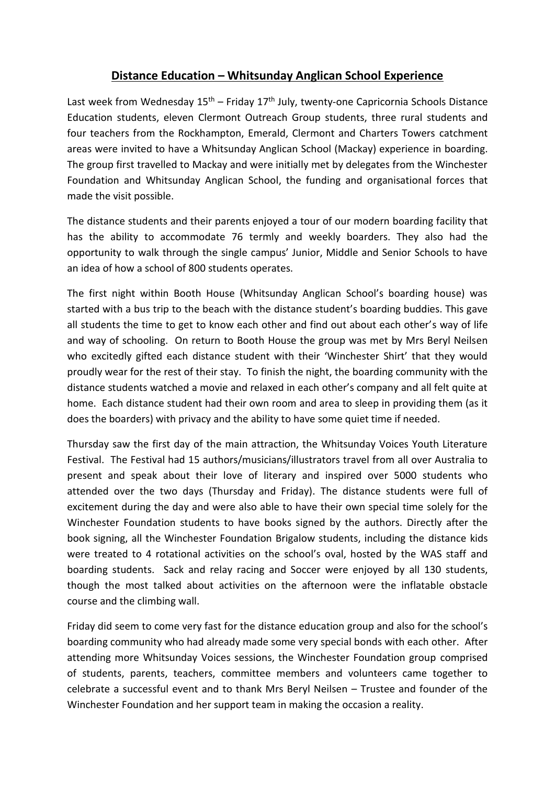## **Distance Education – Whitsunday Anglican School Experience**

Last week from Wednesday 15<sup>th</sup> – Friday 17<sup>th</sup> July, twenty-one Capricornia Schools Distance Education students, eleven Clermont Outreach Group students, three rural students and four teachers from the Rockhampton, Emerald, Clermont and Charters Towers catchment areas were invited to have a Whitsunday Anglican School (Mackay) experience in boarding. The group first travelled to Mackay and were initially met by delegates from the Winchester Foundation and Whitsunday Anglican School, the funding and organisational forces that made the visit possible.

The distance students and their parents enjoyed a tour of our modern boarding facility that has the ability to accommodate 76 termly and weekly boarders. They also had the opportunity to walk through the single campus' Junior, Middle and Senior Schools to have an idea of how a school of 800 students operates.

The first night within Booth House (Whitsunday Anglican School's boarding house) was started with a bus trip to the beach with the distance student's boarding buddies. This gave all students the time to get to know each other and find out about each other's way of life and way of schooling. On return to Booth House the group was met by Mrs Beryl Neilsen who excitedly gifted each distance student with their 'Winchester Shirt' that they would proudly wear for the rest of their stay. To finish the night, the boarding community with the distance students watched a movie and relaxed in each other's company and all felt quite at home. Each distance student had their own room and area to sleep in providing them (as it does the boarders) with privacy and the ability to have some quiet time if needed.

Thursday saw the first day of the main attraction, the Whitsunday Voices Youth Literature Festival. The Festival had 15 authors/musicians/illustrators travel from all over Australia to present and speak about their love of literary and inspired over 5000 students who attended over the two days (Thursday and Friday). The distance students were full of excitement during the day and were also able to have their own special time solely for the Winchester Foundation students to have books signed by the authors. Directly after the book signing, all the Winchester Foundation Brigalow students, including the distance kids were treated to 4 rotational activities on the school's oval, hosted by the WAS staff and boarding students. Sack and relay racing and Soccer were enjoyed by all 130 students, though the most talked about activities on the afternoon were the inflatable obstacle course and the climbing wall.

Friday did seem to come very fast for the distance education group and also for the school's boarding community who had already made some very special bonds with each other. After attending more Whitsunday Voices sessions, the Winchester Foundation group comprised of students, parents, teachers, committee members and volunteers came together to celebrate a successful event and to thank Mrs Beryl Neilsen – Trustee and founder of the Winchester Foundation and her support team in making the occasion a reality.